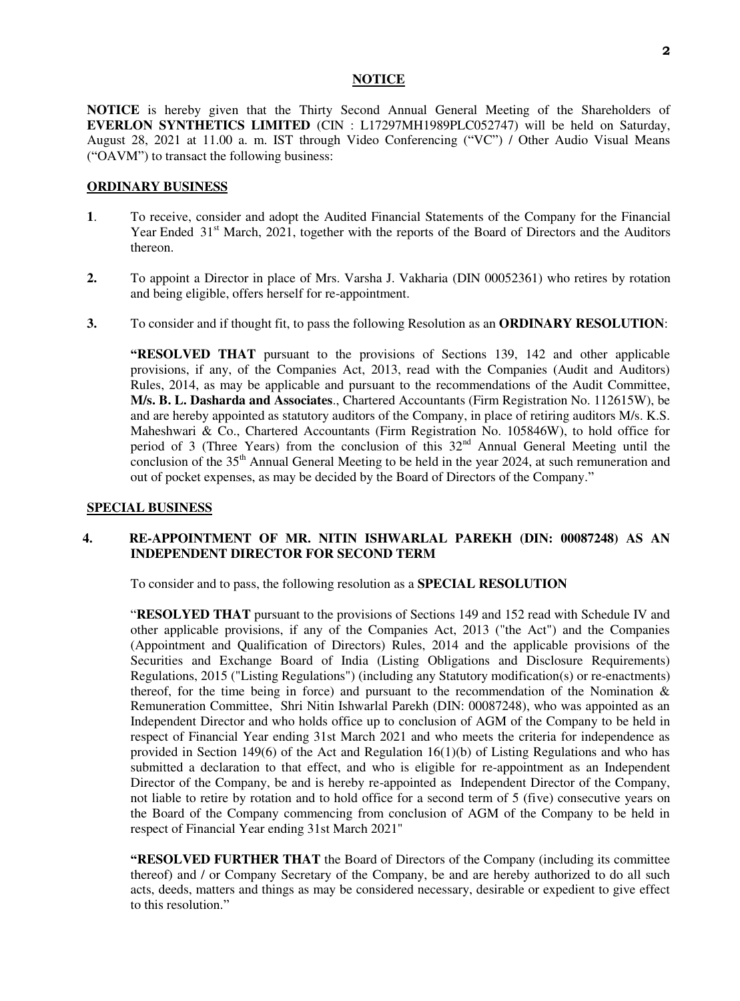#### **NOTICE**

**NOTICE** is hereby given that the Thirty Second Annual General Meeting of the Shareholders of **EVERLON SYNTHETICS LIMITED** (CIN : L17297MH1989PLC052747) will be held on Saturday, August 28, 2021 at 11.00 a. m. IST through Video Conferencing ("VC") / Other Audio Visual Means ("OAVM") to transact the following business:

#### **ORDINARY BUSINESS**

- **1**. To receive, consider and adopt the Audited Financial Statements of the Company for the Financial Year Ended 31<sup>st</sup> March, 2021, together with the reports of the Board of Directors and the Auditors thereon.
- **2.** To appoint a Director in place of Mrs. Varsha J. Vakharia (DIN 00052361) who retires by rotation and being eligible, offers herself for re-appointment.
- **3.** To consider and if thought fit, to pass the following Resolution as an **ORDINARY RESOLUTION**:

**"RESOLVED THAT** pursuant to the provisions of Sections 139, 142 and other applicable provisions, if any, of the Companies Act, 2013, read with the Companies (Audit and Auditors) Rules, 2014, as may be applicable and pursuant to the recommendations of the Audit Committee, **M/s. B. L. Dasharda and Associates**., Chartered Accountants (Firm Registration No. 112615W), be and are hereby appointed as statutory auditors of the Company, in place of retiring auditors M/s. K.S. Maheshwari & Co., Chartered Accountants (Firm Registration No. 105846W), to hold office for period of 3 (Three Years) from the conclusion of this 32<sup>nd</sup> Annual General Meeting until the conclusion of the  $35<sup>th</sup>$  Annual General Meeting to be held in the year 2024, at such remuneration and out of pocket expenses, as may be decided by the Board of Directors of the Company."

### **SPECIAL BUSINESS**

## **4. RE-APPOINTMENT OF MR. NITIN ISHWARLAL PAREKH (DIN: 00087248) AS AN INDEPENDENT DIRECTOR FOR SECOND TERM**

To consider and to pass, the following resolution as a **SPECIAL RESOLUTION**

"**RESOLYED THAT** pursuant to the provisions of Sections 149 and 152 read with Schedule IV and other applicable provisions, if any of the Companies Act, 2013 ("the Act") and the Companies (Appointment and Qualification of Directors) Rules, 2014 and the applicable provisions of the Securities and Exchange Board of India (Listing Obligations and Disclosure Requirements) Regulations, 2015 ("Listing Regulations") (including any Statutory modification(s) or re-enactments) thereof, for the time being in force) and pursuant to the recommendation of the Nomination  $\&$ Remuneration Committee, Shri Nitin Ishwarlal Parekh (DIN: 00087248), who was appointed as an Independent Director and who holds office up to conclusion of AGM of the Company to be held in respect of Financial Year ending 31st March 2021 and who meets the criteria for independence as provided in Section 149(6) of the Act and Regulation 16(1)(b) of Listing Regulations and who has submitted a declaration to that effect, and who is eligible for re-appointment as an Independent Director of the Company, be and is hereby re-appointed as Independent Director of the Company, not liable to retire by rotation and to hold office for a second term of 5 (five) consecutive years on the Board of the Company commencing from conclusion of AGM of the Company to be held in respect of Financial Year ending 31st March 2021"

**"RESOLVED FURTHER THAT** the Board of Directors of the Company (including its committee thereof) and / or Company Secretary of the Company, be and are hereby authorized to do all such acts, deeds, matters and things as may be considered necessary, desirable or expedient to give effect to this resolution."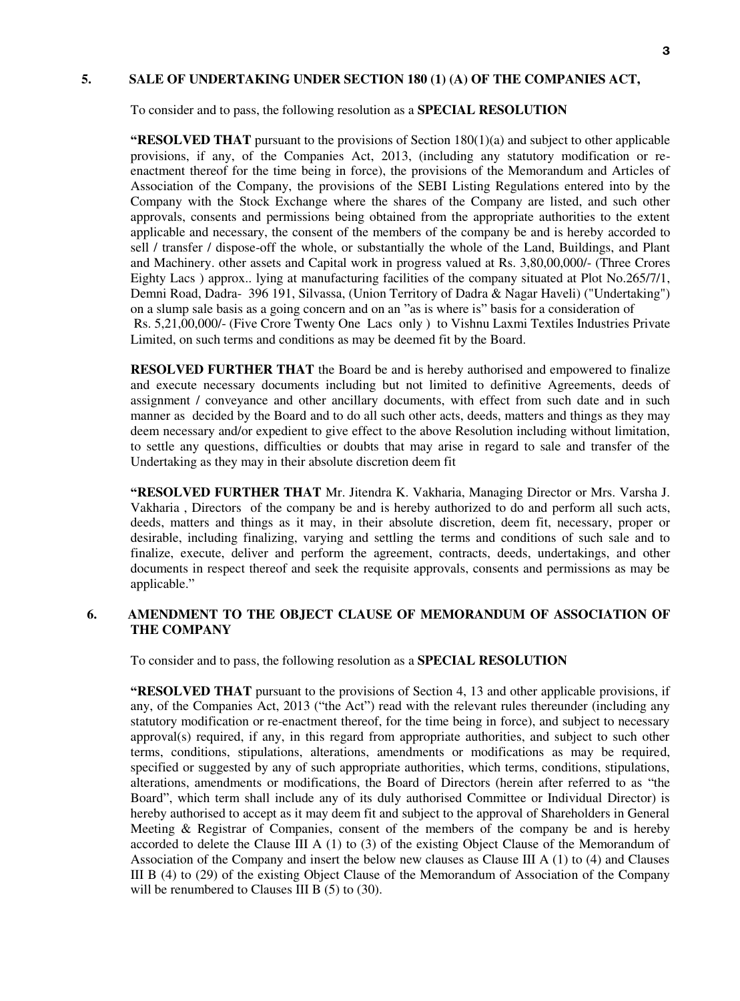## **5. SALE OF UNDERTAKING UNDER SECTION 180 (1) (A) OF THE COMPANIES ACT,**

To consider and to pass, the following resolution as a **SPECIAL RESOLUTION** 

**"RESOLVED THAT** pursuant to the provisions of Section 180(1)(a) and subject to other applicable provisions, if any, of the Companies Act, 2013, (including any statutory modification or reenactment thereof for the time being in force), the provisions of the Memorandum and Articles of Association of the Company, the provisions of the SEBI Listing Regulations entered into by the Company with the Stock Exchange where the shares of the Company are listed, and such other approvals, consents and permissions being obtained from the appropriate authorities to the extent applicable and necessary, the consent of the members of the company be and is hereby accorded to sell / transfer / dispose-off the whole, or substantially the whole of the Land, Buildings, and Plant and Machinery. other assets and Capital work in progress valued at Rs. 3,80,00,000/- (Three Crores Eighty Lacs ) approx.. lying at manufacturing facilities of the company situated at Plot No.265/7/1, Demni Road, Dadra- 396 191, Silvassa, (Union Territory of Dadra & Nagar Haveli) ("Undertaking") on a slump sale basis as a going concern and on an "as is where is" basis for a consideration of Rs. 5,21,00,000/- (Five Crore Twenty One Lacs only ) to Vishnu Laxmi Textiles Industries Private Limited, on such terms and conditions as may be deemed fit by the Board.

**RESOLVED FURTHER THAT** the Board be and is hereby authorised and empowered to finalize and execute necessary documents including but not limited to definitive Agreements, deeds of assignment / conveyance and other ancillary documents, with effect from such date and in such manner as decided by the Board and to do all such other acts, deeds, matters and things as they may deem necessary and/or expedient to give effect to the above Resolution including without limitation, to settle any questions, difficulties or doubts that may arise in regard to sale and transfer of the Undertaking as they may in their absolute discretion deem fit

**"RESOLVED FURTHER THAT** Mr. Jitendra K. Vakharia, Managing Director or Mrs. Varsha J. Vakharia , Directors of the company be and is hereby authorized to do and perform all such acts, deeds, matters and things as it may, in their absolute discretion, deem fit, necessary, proper or desirable, including finalizing, varying and settling the terms and conditions of such sale and to finalize, execute, deliver and perform the agreement, contracts, deeds, undertakings, and other documents in respect thereof and seek the requisite approvals, consents and permissions as may be applicable."

## **6. AMENDMENT TO THE OBJECT CLAUSE OF MEMORANDUM OF ASSOCIATION OF THE COMPANY**

To consider and to pass, the following resolution as a **SPECIAL RESOLUTION**

**"RESOLVED THAT** pursuant to the provisions of Section 4, 13 and other applicable provisions, if any, of the Companies Act, 2013 ("the Act") read with the relevant rules thereunder (including any statutory modification or re-enactment thereof, for the time being in force), and subject to necessary approval(s) required, if any, in this regard from appropriate authorities, and subject to such other terms, conditions, stipulations, alterations, amendments or modifications as may be required, specified or suggested by any of such appropriate authorities, which terms, conditions, stipulations, alterations, amendments or modifications, the Board of Directors (herein after referred to as "the Board", which term shall include any of its duly authorised Committee or Individual Director) is hereby authorised to accept as it may deem fit and subject to the approval of Shareholders in General Meeting & Registrar of Companies, consent of the members of the company be and is hereby accorded to delete the Clause III A  $(1)$  to  $(3)$  of the existing Object Clause of the Memorandum of Association of the Company and insert the below new clauses as Clause III A  $(1)$  to  $(4)$  and Clauses III B (4) to (29) of the existing Object Clause of the Memorandum of Association of the Company will be renumbered to Clauses III B (5) to (30).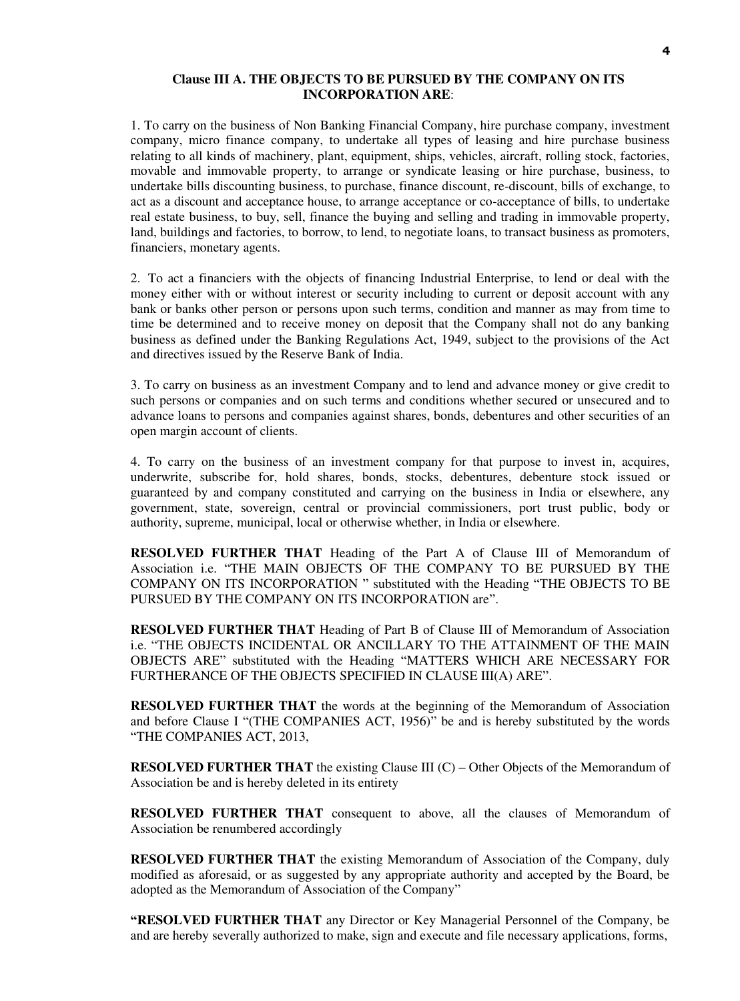### **Clause III A. THE OBJECTS TO BE PURSUED BY THE COMPANY ON ITS INCORPORATION ARE**:

1. To carry on the business of Non Banking Financial Company, hire purchase company, investment company, micro finance company, to undertake all types of leasing and hire purchase business relating to all kinds of machinery, plant, equipment, ships, vehicles, aircraft, rolling stock, factories, movable and immovable property, to arrange or syndicate leasing or hire purchase, business, to undertake bills discounting business, to purchase, finance discount, re-discount, bills of exchange, to act as a discount and acceptance house, to arrange acceptance or co-acceptance of bills, to undertake real estate business, to buy, sell, finance the buying and selling and trading in immovable property, land, buildings and factories, to borrow, to lend, to negotiate loans, to transact business as promoters, financiers, monetary agents.

2. To act a financiers with the objects of financing Industrial Enterprise, to lend or deal with the money either with or without interest or security including to current or deposit account with any bank or banks other person or persons upon such terms, condition and manner as may from time to time be determined and to receive money on deposit that the Company shall not do any banking business as defined under the Banking Regulations Act, 1949, subject to the provisions of the Act and directives issued by the Reserve Bank of India.

3. To carry on business as an investment Company and to lend and advance money or give credit to such persons or companies and on such terms and conditions whether secured or unsecured and to advance loans to persons and companies against shares, bonds, debentures and other securities of an open margin account of clients.

4. To carry on the business of an investment company for that purpose to invest in, acquires, underwrite, subscribe for, hold shares, bonds, stocks, debentures, debenture stock issued or guaranteed by and company constituted and carrying on the business in India or elsewhere, any government, state, sovereign, central or provincial commissioners, port trust public, body or authority, supreme, municipal, local or otherwise whether, in India or elsewhere.

**RESOLVED FURTHER THAT** Heading of the Part A of Clause III of Memorandum of Association i.e. "THE MAIN OBJECTS OF THE COMPANY TO BE PURSUED BY THE COMPANY ON ITS INCORPORATION " substituted with the Heading "THE OBJECTS TO BE PURSUED BY THE COMPANY ON ITS INCORPORATION are".

**RESOLVED FURTHER THAT** Heading of Part B of Clause III of Memorandum of Association i.e. "THE OBJECTS INCIDENTAL OR ANCILLARY TO THE ATTAINMENT OF THE MAIN OBJECTS ARE" substituted with the Heading "MATTERS WHICH ARE NECESSARY FOR FURTHERANCE OF THE OBJECTS SPECIFIED IN CLAUSE III(A) ARE".

**RESOLVED FURTHER THAT** the words at the beginning of the Memorandum of Association and before Clause I "(THE COMPANIES ACT, 1956)" be and is hereby substituted by the words "THE COMPANIES ACT, 2013,

**RESOLVED FURTHER THAT** the existing Clause III (C) – Other Objects of the Memorandum of Association be and is hereby deleted in its entirety

**RESOLVED FURTHER THAT** consequent to above, all the clauses of Memorandum of Association be renumbered accordingly

**RESOLVED FURTHER THAT** the existing Memorandum of Association of the Company, duly modified as aforesaid, or as suggested by any appropriate authority and accepted by the Board, be adopted as the Memorandum of Association of the Company"

**"RESOLVED FURTHER THAT** any Director or Key Managerial Personnel of the Company, be and are hereby severally authorized to make, sign and execute and file necessary applications, forms,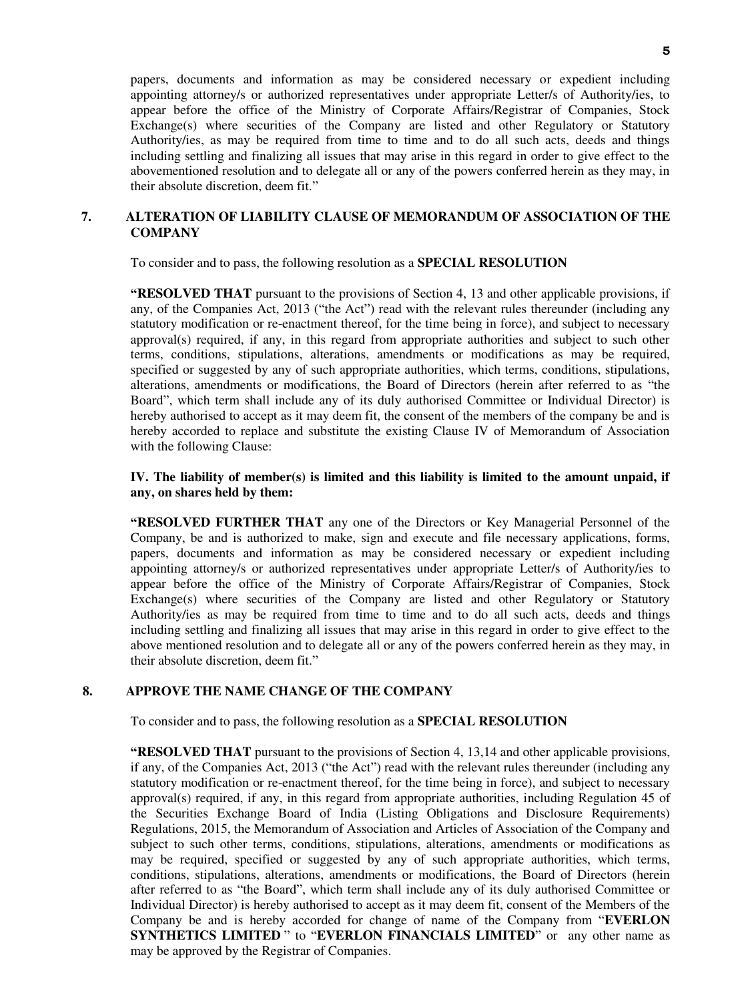papers, documents and information as may be considered necessary or expedient including appointing attorney/s or authorized representatives under appropriate Letter/s of Authority/ies, to appear before the office of the Ministry of Corporate Affairs/Registrar of Companies, Stock Exchange(s) where securities of the Company are listed and other Regulatory or Statutory Authority/ies, as may be required from time to time and to do all such acts, deeds and things including settling and finalizing all issues that may arise in this regard in order to give effect to the abovementioned resolution and to delegate all or any of the powers conferred herein as they may, in their absolute discretion, deem fit."

## **7. ALTERATION OF LIABILITY CLAUSE OF MEMORANDUM OF ASSOCIATION OF THE COMPANY**

To consider and to pass, the following resolution as a **SPECIAL RESOLUTION**

**"RESOLVED THAT** pursuant to the provisions of Section 4, 13 and other applicable provisions, if any, of the Companies Act, 2013 ("the Act") read with the relevant rules thereunder (including any statutory modification or re-enactment thereof, for the time being in force), and subject to necessary approval(s) required, if any, in this regard from appropriate authorities and subject to such other terms, conditions, stipulations, alterations, amendments or modifications as may be required, specified or suggested by any of such appropriate authorities, which terms, conditions, stipulations, alterations, amendments or modifications, the Board of Directors (herein after referred to as "the Board", which term shall include any of its duly authorised Committee or Individual Director) is hereby authorised to accept as it may deem fit, the consent of the members of the company be and is hereby accorded to replace and substitute the existing Clause IV of Memorandum of Association with the following Clause:

## **IV. The liability of member(s) is limited and this liability is limited to the amount unpaid, if any, on shares held by them:**

**"RESOLVED FURTHER THAT** any one of the Directors or Key Managerial Personnel of the Company, be and is authorized to make, sign and execute and file necessary applications, forms, papers, documents and information as may be considered necessary or expedient including appointing attorney/s or authorized representatives under appropriate Letter/s of Authority/ies to appear before the office of the Ministry of Corporate Affairs/Registrar of Companies, Stock  $Exchange(s)$  where securities of the Company are listed and other Regulatory or Statutory Authority/ies as may be required from time to time and to do all such acts, deeds and things including settling and finalizing all issues that may arise in this regard in order to give effect to the above mentioned resolution and to delegate all or any of the powers conferred herein as they may, in their absolute discretion, deem fit."

## **8. APPROVE THE NAME CHANGE OF THE COMPANY**

To consider and to pass, the following resolution as a **SPECIAL RESOLUTION** 

**"RESOLVED THAT** pursuant to the provisions of Section 4, 13,14 and other applicable provisions, if any, of the Companies Act, 2013 ("the Act") read with the relevant rules thereunder (including any statutory modification or re-enactment thereof, for the time being in force), and subject to necessary approval(s) required, if any, in this regard from appropriate authorities, including Regulation 45 of the Securities Exchange Board of India (Listing Obligations and Disclosure Requirements) Regulations, 2015, the Memorandum of Association and Articles of Association of the Company and subject to such other terms, conditions, stipulations, alterations, amendments or modifications as may be required, specified or suggested by any of such appropriate authorities, which terms, conditions, stipulations, alterations, amendments or modifications, the Board of Directors (herein after referred to as "the Board", which term shall include any of its duly authorised Committee or Individual Director) is hereby authorised to accept as it may deem fit, consent of the Members of the Company be and is hereby accorded for change of name of the Company from "**EVERLON SYNTHETICS LIMITED** " to "**EVERLON FINANCIALS LIMITED**" or any other name as may be approved by the Registrar of Companies.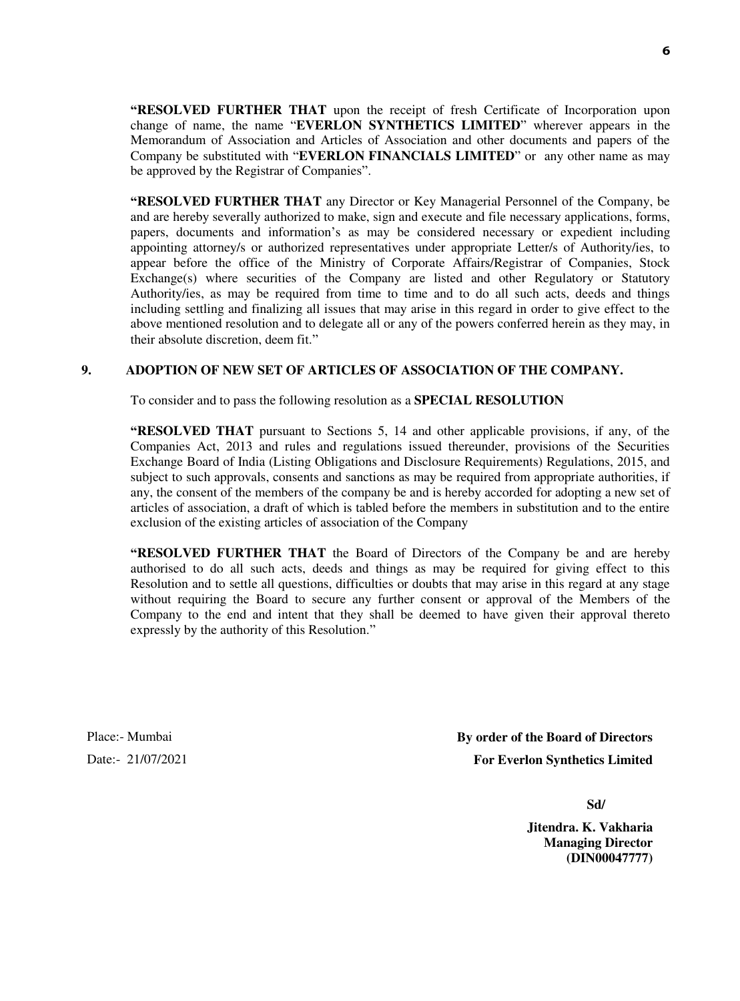**"RESOLVED FURTHER THAT** upon the receipt of fresh Certificate of Incorporation upon change of name, the name "**EVERLON SYNTHETICS LIMITED**" wherever appears in the Memorandum of Association and Articles of Association and other documents and papers of the Company be substituted with "**EVERLON FINANCIALS LIMITED**" or any other name as may be approved by the Registrar of Companies".

**"RESOLVED FURTHER THAT** any Director or Key Managerial Personnel of the Company, be and are hereby severally authorized to make, sign and execute and file necessary applications, forms, papers, documents and information's as may be considered necessary or expedient including appointing attorney/s or authorized representatives under appropriate Letter/s of Authority/ies, to appear before the office of the Ministry of Corporate Affairs/Registrar of Companies, Stock Exchange(s) where securities of the Company are listed and other Regulatory or Statutory Authority/ies, as may be required from time to time and to do all such acts, deeds and things including settling and finalizing all issues that may arise in this regard in order to give effect to the above mentioned resolution and to delegate all or any of the powers conferred herein as they may, in their absolute discretion, deem fit."

## **9. ADOPTION OF NEW SET OF ARTICLES OF ASSOCIATION OF THE COMPANY.**

To consider and to pass the following resolution as a **SPECIAL RESOLUTION**

**"RESOLVED THAT** pursuant to Sections 5, 14 and other applicable provisions, if any, of the Companies Act, 2013 and rules and regulations issued thereunder, provisions of the Securities Exchange Board of India (Listing Obligations and Disclosure Requirements) Regulations, 2015, and subject to such approvals, consents and sanctions as may be required from appropriate authorities, if any, the consent of the members of the company be and is hereby accorded for adopting a new set of articles of association, a draft of which is tabled before the members in substitution and to the entire exclusion of the existing articles of association of the Company

**"RESOLVED FURTHER THAT** the Board of Directors of the Company be and are hereby authorised to do all such acts, deeds and things as may be required for giving effect to this Resolution and to settle all questions, difficulties or doubts that may arise in this regard at any stage without requiring the Board to secure any further consent or approval of the Members of the Company to the end and intent that they shall be deemed to have given their approval thereto expressly by the authority of this Resolution."

Place:- Mumbai Date:- 21/07/2021 **By order of the Board of Directors For Everlon Synthetics Limited** 

**Sd/** 

**Jitendra. K. Vakharia Managing Director (DIN00047777)**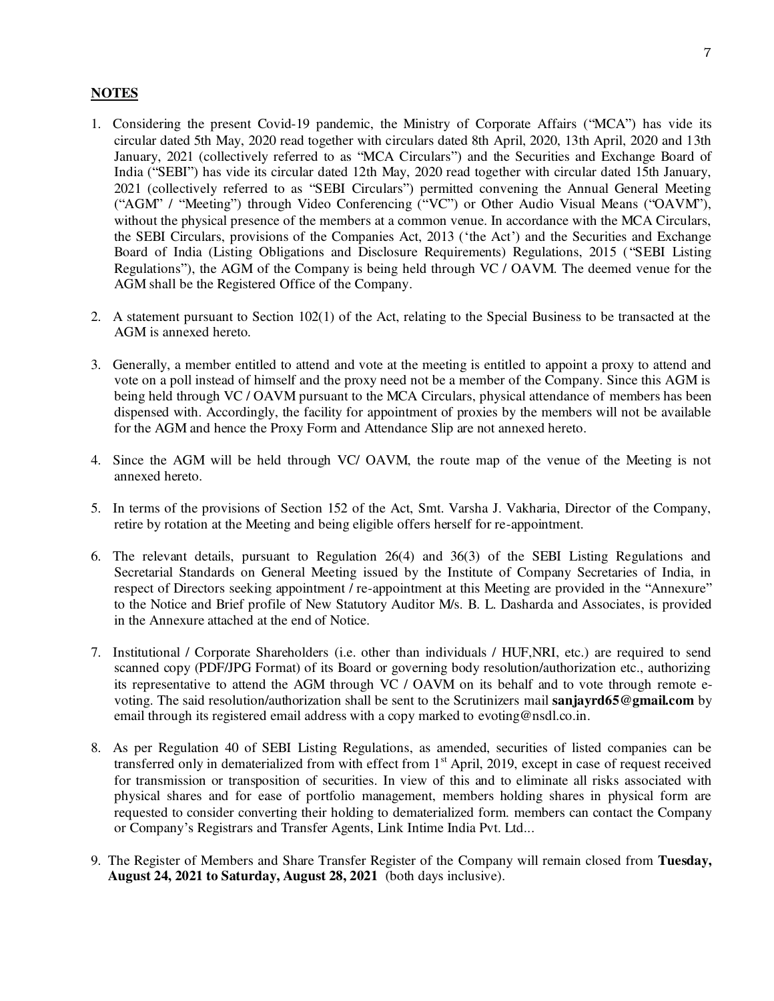## **NOTES**

- 1. Considering the present Covid-19 pandemic, the Ministry of Corporate Affairs ("MCA") has vide its circular dated 5th May, 2020 read together with circulars dated 8th April, 2020, 13th April, 2020 and 13th January, 2021 (collectively referred to as "MCA Circulars") and the Securities and Exchange Board of India ("SEBI") has vide its circular dated 12th May, 2020 read together with circular dated 15th January, 2021 (collectively referred to as "SEBI Circulars") permitted convening the Annual General Meeting ("AGM" / "Meeting") through Video Conferencing ("VC") or Other Audio Visual Means ("OAVM"), without the physical presence of the members at a common venue. In accordance with the MCA Circulars, the SEBI Circulars, provisions of the Companies Act, 2013 ('the Act') and the Securities and Exchange Board of India (Listing Obligations and Disclosure Requirements) Regulations, 2015 ( "SEBI Listing Regulations"), the AGM of the Company is being held through VC / OAVM. The deemed venue for the AGM shall be the Registered Office of the Company.
- 2. A statement pursuant to Section 102(1) of the Act, relating to the Special Business to be transacted at the AGM is annexed hereto.
- 3. Generally, a member entitled to attend and vote at the meeting is entitled to appoint a proxy to attend and vote on a poll instead of himself and the proxy need not be a member of the Company. Since this AGM is being held through VC / OAVM pursuant to the MCA Circulars, physical attendance of members has been dispensed with. Accordingly, the facility for appointment of proxies by the members will not be available for the AGM and hence the Proxy Form and Attendance Slip are not annexed hereto.
- 4. Since the AGM will be held through VC/ OAVM, the route map of the venue of the Meeting is not annexed hereto.
- 5. In terms of the provisions of Section 152 of the Act, Smt. Varsha J. Vakharia, Director of the Company, retire by rotation at the Meeting and being eligible offers herself for re-appointment.
- 6. The relevant details, pursuant to Regulation 26(4) and 36(3) of the SEBI Listing Regulations and Secretarial Standards on General Meeting issued by the Institute of Company Secretaries of India, in respect of Directors seeking appointment / re-appointment at this Meeting are provided in the "Annexure" to the Notice and Brief profile of New Statutory Auditor M/s. B. L. Dasharda and Associates, is provided in the Annexure attached at the end of Notice.
- 7. Institutional / Corporate Shareholders (i.e. other than individuals / HUF,NRI, etc.) are required to send scanned copy (PDF/JPG Format) of its Board or governing body resolution/authorization etc., authorizing its representative to attend the AGM through VC / OAVM on its behalf and to vote through remote evoting. The said resolution/authorization shall be sent to the Scrutinizers mail **sanjayrd65@gmail.com** by email through its registered email address with a copy marked to [evoting@nsdl.co.in.](mailto:evoting@nsdl.co.in)
- 8. As per Regulation 40 of SEBI Listing Regulations, as amended, securities of listed companies can be transferred only in dematerialized from with effect from 1<sup>st</sup> April, 2019, except in case of request received for transmission or transposition of securities. In view of this and to eliminate all risks associated with physical shares and for ease of portfolio management, members holding shares in physical form are requested to consider converting their holding to dematerialized form. members can contact the Company or Company's Registrars and Transfer Agents, Link Intime India Pvt. Ltd...
- 9. The Register of Members and Share Transfer Register of the Company will remain closed from **Tuesday, August 24, 2021 to Saturday, August 28, 2021** (both days inclusive).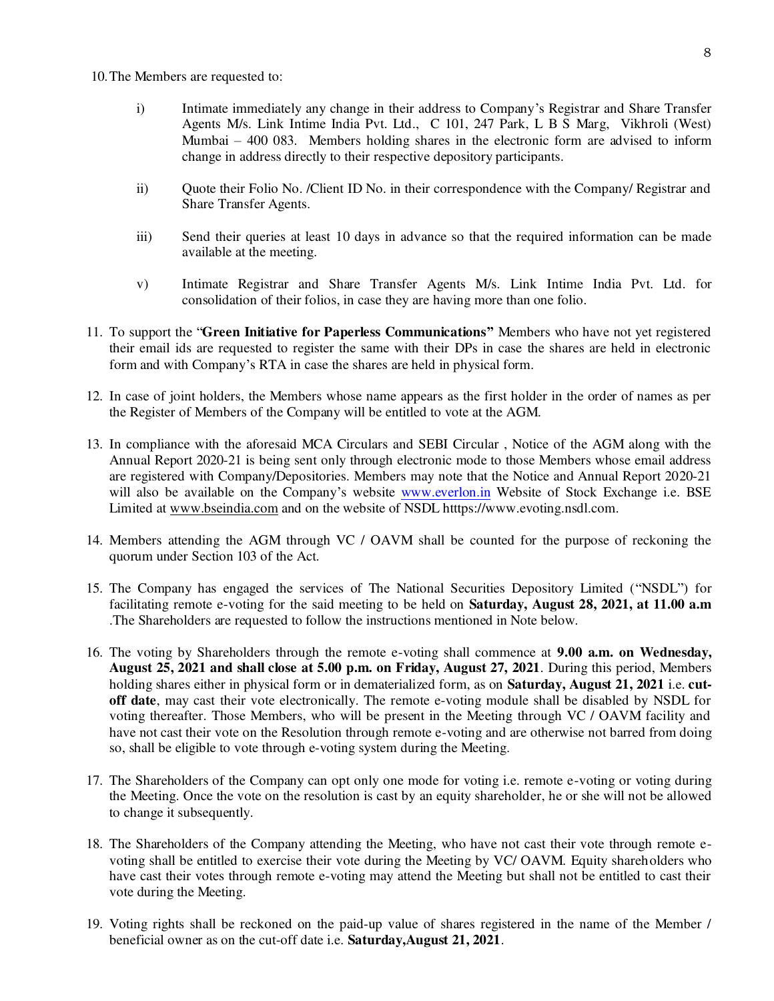10.The Members are requested to:

- i) Intimate immediately any change in their address to Company's Registrar and Share Transfer Agents M/s. Link Intime India Pvt. Ltd., C 101, 247 Park, L B S Marg, Vikhroli (West) Mumbai – 400 083. Members holding shares in the electronic form are advised to inform change in address directly to their respective depository participants.
- ii) Quote their Folio No. /Client ID No. in their correspondence with the Company/ Registrar and Share Transfer Agents.
- iii) Send their queries at least 10 days in advance so that the required information can be made available at the meeting.
- v) Intimate Registrar and Share Transfer Agents M/s. Link Intime India Pvt. Ltd. for consolidation of their folios, in case they are having more than one folio.
- 11. To support the "**Green Initiative for Paperless Communications"** Members who have not yet registered their email ids are requested to register the same with their DPs in case the shares are held in electronic form and with Company's RTA in case the shares are held in physical form.
- 12. In case of joint holders, the Members whose name appears as the first holder in the order of names as per the Register of Members of the Company will be entitled to vote at the AGM.
- 13. In compliance with the aforesaid MCA Circulars and SEBI Circular , Notice of the AGM along with the Annual Report 2020-21 is being sent only through electronic mode to those Members whose email address are registered with Company/Depositories. Members may note that the Notice and Annual Report 2020-21 will also be available on the Company's website [www.everlon.in](http://www.everlon.in/) Website of Stock Exchange i.e. BSE Limited at [www.bseindia.com](http://www.bseindia.com/) and on the website of NSDL htttps://www.evoting.nsdl.com.
- 14. Members attending the AGM through VC / OAVM shall be counted for the purpose of reckoning the quorum under Section 103 of the Act.
- 15. The Company has engaged the services of The National Securities Depository Limited ("NSDL") for facilitating remote e-voting for the said meeting to be held on **Saturday, August 28, 2021, at 11.00 a.m** .The Shareholders are requested to follow the instructions mentioned in Note below.
- 16. The voting by Shareholders through the remote e-voting shall commence at **9.00 a.m. on Wednesday, August 25, 2021 and shall close at 5.00 p.m. on Friday, August 27, 2021**. During this period, Members holding shares either in physical form or in dematerialized form, as on **Saturday, August 21, 2021** i.e. **cutoff date**, may cast their vote electronically. The remote e-voting module shall be disabled by NSDL for voting thereafter. Those Members, who will be present in the Meeting through VC / OAVM facility and have not cast their vote on the Resolution through remote e-voting and are otherwise not barred from doing so, shall be eligible to vote through e-voting system during the Meeting.
- 17. The Shareholders of the Company can opt only one mode for voting i.e. remote e-voting or voting during the Meeting. Once the vote on the resolution is cast by an equity shareholder, he or she will not be allowed to change it subsequently.
- 18. The Shareholders of the Company attending the Meeting, who have not cast their vote through remote evoting shall be entitled to exercise their vote during the Meeting by VC/ OAVM. Equity shareholders who have cast their votes through remote e-voting may attend the Meeting but shall not be entitled to cast their vote during the Meeting.
- 19. Voting rights shall be reckoned on the paid-up value of shares registered in the name of the Member / beneficial owner as on the cut-off date i.e. **Saturday,August 21, 2021**.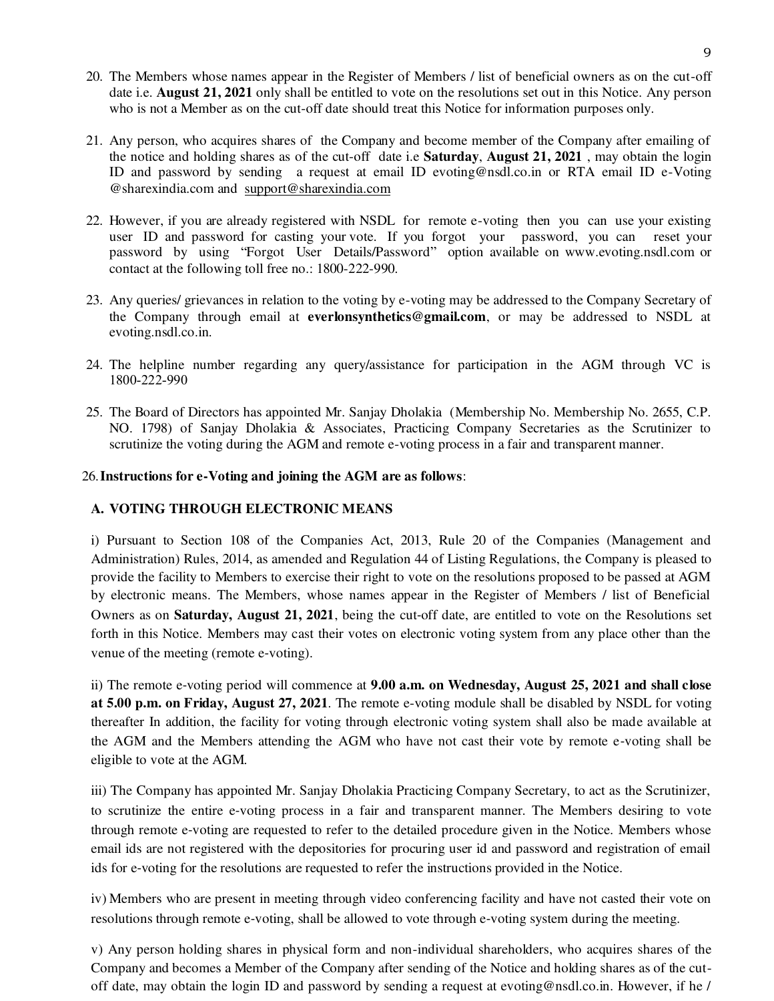- 20. The Members whose names appear in the Register of Members / list of beneficial owners as on the cut-off date i.e. **August 21, 2021** only shall be entitled to vote on the resolutions set out in this Notice. Any person who is not a Member as on the cut-off date should treat this Notice for information purposes only.
- 21. Any person, who acquires shares of the Company and become member of the Company after emailing of the notice and holding shares as of the cut-off date i.e **Saturday**, **August 21, 2021** , may obtain the login ID and password by sending a request at email ID evoting@nsdl.co.in or RTA email ID e-Voting @sharexindia.com and [support@sharexindia.com](mailto:support@sharexindia.com)
- 22. However, if you are already registered with NSDL for remote e-voting then you can use your existing user ID and password for casting your vote. If you forgot your password, you can reset your password by using "Forgot User Details/Password" option available on www.evoting.nsdl.com or contact at the following toll free no.: 1800-222-990.
- 23. Any queries/ grievances in relation to the voting by e-voting may be addressed to the Company Secretary of the Company through email at **everlonsynthetics@gmail.com**, or may be addressed to NSDL at evoting.nsdl.co.in.
- 24. The helpline number regarding any query/assistance for participation in the AGM through VC is 1800‐222‐990
- 25. The Board of Directors has appointed Mr. Sanjay Dholakia (Membership No. Membership No. 2655, C.P. NO. 1798) of Sanjay Dholakia & Associates, Practicing Company Secretaries as the Scrutinizer to scrutinize the voting during the AGM and remote e-voting process in a fair and transparent manner.

### 26.**Instructions for e-Voting and joining the AGM are as follows**:

### **A. VOTING THROUGH ELECTRONIC MEANS**

i) Pursuant to Section 108 of the Companies Act, 2013, Rule 20 of the Companies (Management and Administration) Rules, 2014, as amended and Regulation 44 of Listing Regulations, the Company is pleased to provide the facility to Members to exercise their right to vote on the resolutions proposed to be passed at AGM by electronic means. The Members, whose names appear in the Register of Members / list of Beneficial Owners as on **Saturday, August 21, 2021**, being the cut-off date, are entitled to vote on the Resolutions set forth in this Notice. Members may cast their votes on electronic voting system from any place other than the venue of the meeting (remote e‐voting).

ii) The remote e‐voting period will commence at **9.00 a.m. on Wednesday, August 25, 2021 and shall close at 5.00 p.m. on Friday, August 27, 2021**. The remote e-voting module shall be disabled by NSDL for voting thereafter In addition, the facility for voting through electronic voting system shall also be made available at the AGM and the Members attending the AGM who have not cast their vote by remote e‐voting shall be eligible to vote at the AGM.

iii) The Company has appointed Mr. Sanjay Dholakia Practicing Company Secretary, to act as the Scrutinizer, to scrutinize the entire e‐voting process in a fair and transparent manner. The Members desiring to vote through remote e‐voting are requested to refer to the detailed procedure given in the Notice. Members whose email ids are not registered with the depositories for procuring user id and password and registration of email ids for e‐voting for the resolutions are requested to refer the instructions provided in the Notice.

iv) Members who are present in meeting through video conferencing facility and have not casted their vote on resolutions through remote e-voting, shall be allowed to vote through e-voting system during the meeting.

v) Any person holding shares in physical form and non-individual shareholders, who acquires shares of the Company and becomes a Member of the Company after sending of the Notice and holding shares as of the cutoff date, may obtain the login ID and password by sending a request at evoting@nsdl.co.in. However, if he /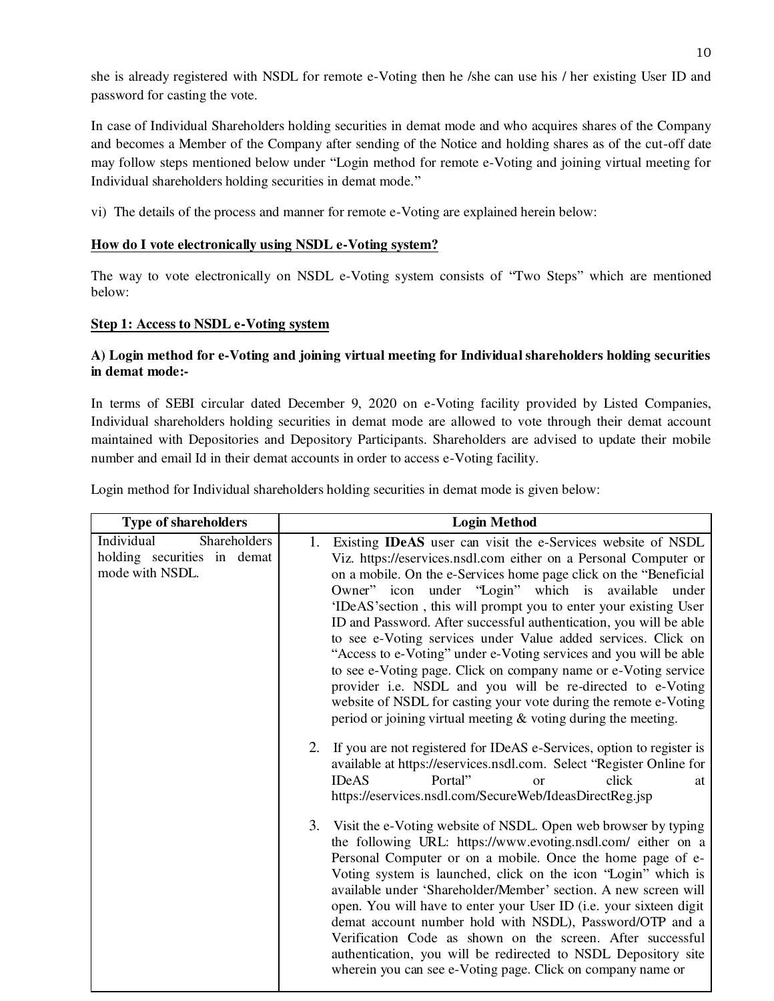she is already registered with NSDL for remote e-Voting then he /she can use his / her existing User ID and password for casting the vote.

In case of Individual Shareholders holding securities in demat mode and who acquires shares of the Company and becomes a Member of the Company after sending of the Notice and holding shares as of the cut-off date may follow steps mentioned below under "Login method for remote e-Voting and joining virtual meeting for Individual shareholders holding securities in demat mode."

vi) The details of the process and manner for remote e-Voting are explained herein below:

# **How do I vote electronically using NSDL e-Voting system?**

The way to vote electronically on NSDL e-Voting system consists of "Two Steps" which are mentioned below:

# **Step 1: Access to NSDL e-Voting system**

## **A) Login method for e-Voting and joining virtual meeting for Individual shareholders holding securities in demat mode:-**

In terms of SEBI circular dated December 9, 2020 on e-Voting facility provided by Listed Companies, Individual shareholders holding securities in demat mode are allowed to vote through their demat account maintained with Depositories and Depository Participants. Shareholders are advised to update their mobile number and email Id in their demat accounts in order to access e-Voting facility.

| Login method for Individual shareholders holding securities in demat mode is given below: |  |
|-------------------------------------------------------------------------------------------|--|
|                                                                                           |  |
|                                                                                           |  |

| <b>Type of shareholders</b>                                                  | <b>Login Method</b>                                                                                                                                                                                                                                                                                                                                                                                                                                                                                                                                                                                                                                                                                                                                                                                                                 |  |
|------------------------------------------------------------------------------|-------------------------------------------------------------------------------------------------------------------------------------------------------------------------------------------------------------------------------------------------------------------------------------------------------------------------------------------------------------------------------------------------------------------------------------------------------------------------------------------------------------------------------------------------------------------------------------------------------------------------------------------------------------------------------------------------------------------------------------------------------------------------------------------------------------------------------------|--|
| Shareholders<br>Individual<br>holding securities in demat<br>mode with NSDL. | 1. Existing <b>IDeAS</b> user can visit the e-Services website of NSDL<br>Viz. https://eservices.nsdl.com either on a Personal Computer or<br>on a mobile. On the e-Services home page click on the "Beneficial<br>Owner" icon under "Login" which is available<br>under<br>'IDeAS' section, this will prompt you to enter your existing User<br>ID and Password. After successful authentication, you will be able<br>to see e-Voting services under Value added services. Click on<br>"Access to e-Voting" under e-Voting services and you will be able<br>to see e-Voting page. Click on company name or e-Voting service<br>provider i.e. NSDL and you will be re-directed to e-Voting<br>website of NSDL for casting your vote during the remote e-Voting<br>period or joining virtual meeting $\&$ voting during the meeting. |  |
|                                                                              | If you are not registered for IDeAS e-Services, option to register is<br>2.<br>available at https://eservices.nsdl.com. Select "Register Online for<br>Portal"<br>click<br><b>IDeAS</b><br>$\alpha$<br>at<br>https://eservices.nsdl.com/SecureWeb/IdeasDirectReg.jsp                                                                                                                                                                                                                                                                                                                                                                                                                                                                                                                                                                |  |
|                                                                              | 3. Visit the e-Voting website of NSDL. Open web browser by typing<br>the following URL: https://www.evoting.nsdl.com/ either on a<br>Personal Computer or on a mobile. Once the home page of e-<br>Voting system is launched, click on the icon "Login" which is<br>available under 'Shareholder/Member' section. A new screen will<br>open. You will have to enter your User ID (i.e. your sixteen digit<br>demat account number hold with NSDL), Password/OTP and a<br>Verification Code as shown on the screen. After successful<br>authentication, you will be redirected to NSDL Depository site<br>wherein you can see e-Voting page. Click on company name or                                                                                                                                                                |  |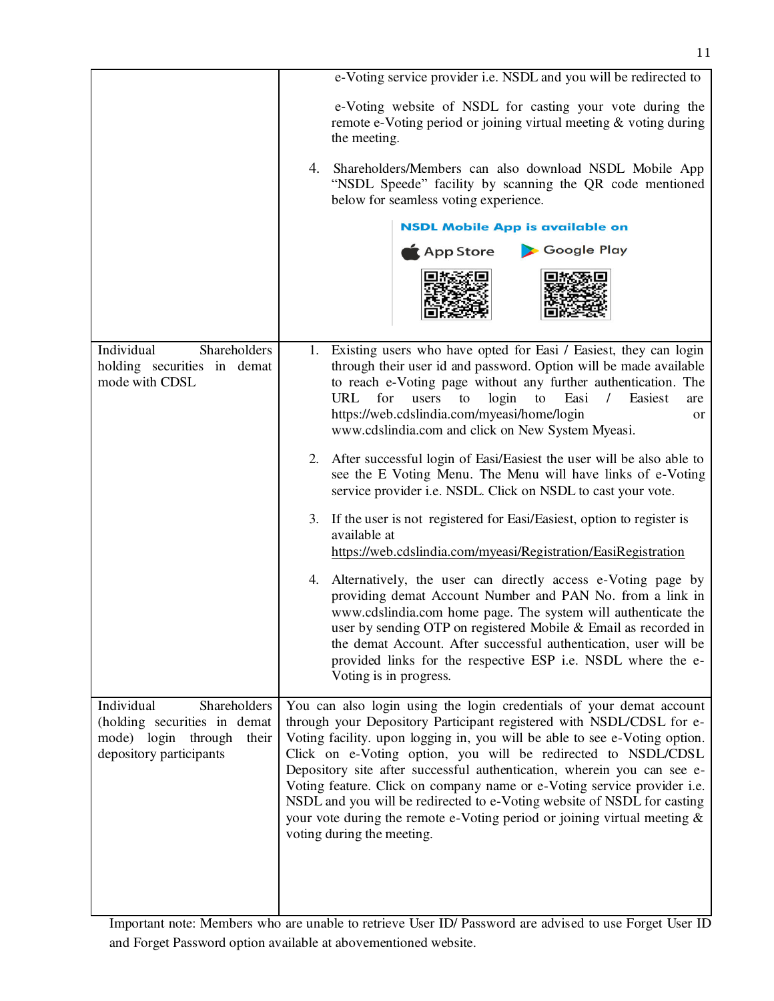| e-Voting service provider i.e. NSDL and you will be redirected to                                                                                                                                                                                                                                                                                                                                                                                                                                                                                                                                                                         |  |
|-------------------------------------------------------------------------------------------------------------------------------------------------------------------------------------------------------------------------------------------------------------------------------------------------------------------------------------------------------------------------------------------------------------------------------------------------------------------------------------------------------------------------------------------------------------------------------------------------------------------------------------------|--|
| e-Voting website of NSDL for casting your vote during the<br>remote e-Voting period or joining virtual meeting & voting during<br>the meeting.                                                                                                                                                                                                                                                                                                                                                                                                                                                                                            |  |
| 4.<br>Shareholders/Members can also download NSDL Mobile App<br>"NSDL Speede" facility by scanning the QR code mentioned<br>below for seamless voting experience.                                                                                                                                                                                                                                                                                                                                                                                                                                                                         |  |
| <b>NSDL Mobile App is available on</b>                                                                                                                                                                                                                                                                                                                                                                                                                                                                                                                                                                                                    |  |
| App Store<br>Google Play                                                                                                                                                                                                                                                                                                                                                                                                                                                                                                                                                                                                                  |  |
|                                                                                                                                                                                                                                                                                                                                                                                                                                                                                                                                                                                                                                           |  |
| 1. Existing users who have opted for Easi / Easiest, they can login<br>through their user id and password. Option will be made available<br>to reach e-Voting page without any further authentication. The<br>URL<br>for<br>login<br>Easi<br>Easiest<br>users<br>to<br>to<br>$\sqrt{2}$<br>are<br>https://web.cdslindia.com/myeasi/home/login<br>or<br>www.cdslindia.com and click on New System Myeasi.                                                                                                                                                                                                                                  |  |
| 2. After successful login of Easi/Easiest the user will be also able to<br>see the E Voting Menu. The Menu will have links of e-Voting<br>service provider i.e. NSDL. Click on NSDL to cast your vote.                                                                                                                                                                                                                                                                                                                                                                                                                                    |  |
| If the user is not registered for Easi/Easiest, option to register is<br>3.<br>available at<br>https://web.cdslindia.com/myeasi/Registration/EasiRegistration                                                                                                                                                                                                                                                                                                                                                                                                                                                                             |  |
| 4. Alternatively, the user can directly access e-Voting page by<br>providing demat Account Number and PAN No. from a link in<br>www.cdslindia.com home page. The system will authenticate the<br>user by sending OTP on registered Mobile & Email as recorded in<br>the demat Account. After successful authentication, user will be<br>provided links for the respective ESP i.e. NSDL where the e-<br>Voting is in progress.                                                                                                                                                                                                            |  |
| You can also login using the login credentials of your demat account<br>through your Depository Participant registered with NSDL/CDSL for e-<br>Voting facility. upon logging in, you will be able to see e-Voting option.<br>Click on e-Voting option, you will be redirected to NSDL/CDSL<br>Depository site after successful authentication, wherein you can see e-<br>Voting feature. Click on company name or e-Voting service provider i.e.<br>NSDL and you will be redirected to e-Voting website of NSDL for casting<br>your vote during the remote e-Voting period or joining virtual meeting $\&$<br>voting during the meeting. |  |
|                                                                                                                                                                                                                                                                                                                                                                                                                                                                                                                                                                                                                                           |  |

Important note: Members who are unable to retrieve User ID/ Password are advised to use Forget User ID and Forget Password option available at abovementioned website.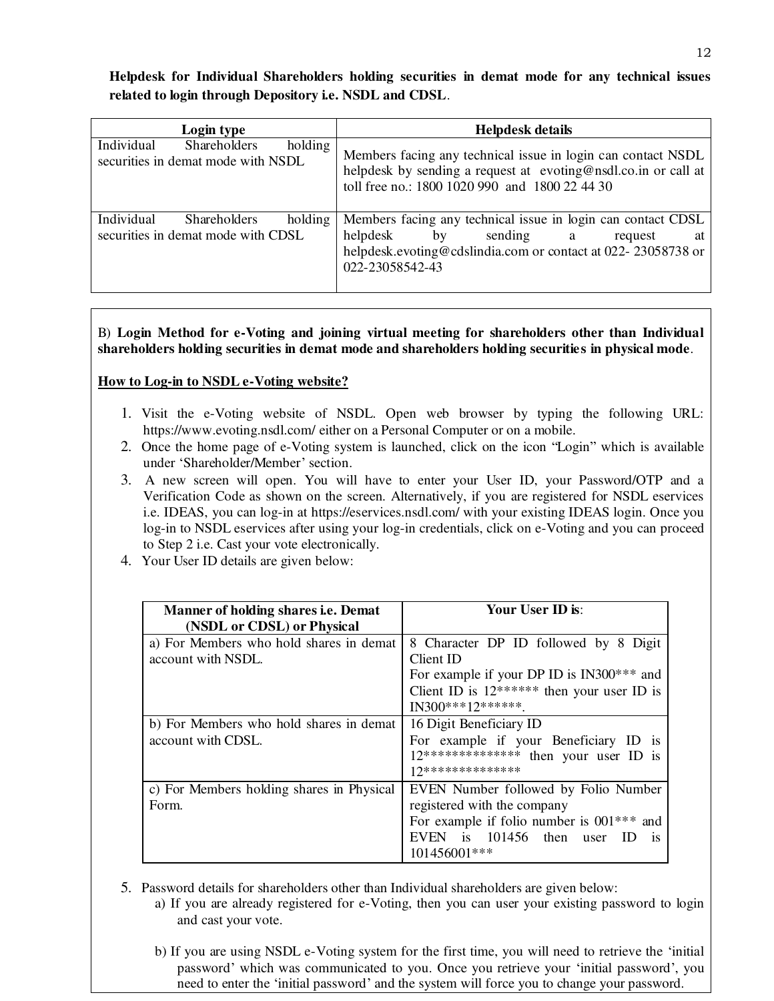# **Helpdesk for Individual Shareholders holding securities in demat mode for any technical issues related to login through Depository i.e. NSDL and CDSL**.

| Login type                                                                         | <b>Helpdesk details</b>                                                                                                                                                                              |  |
|------------------------------------------------------------------------------------|------------------------------------------------------------------------------------------------------------------------------------------------------------------------------------------------------|--|
| Individual<br><b>Shareholders</b><br>holding<br>securities in demat mode with NSDL | Members facing any technical issue in login can contact NSDL<br>helpdesk by sending a request at evoting@nsdl.co.in or call at<br>toll free no.: 1800 1020 990 and 1800 22 44 30                     |  |
| Individual<br>holding<br><b>Shareholders</b><br>securities in demat mode with CDSL | Members facing any technical issue in login can contact CDSL<br>helpdesk<br>sending<br>by<br>request<br>a a<br>at<br>helpdesk.evoting@cdslindia.com or contact at 022-23058738 or<br>022-23058542-43 |  |

B) **Login Method for e-Voting and joining virtual meeting for shareholders other than Individual shareholders holding securities in demat mode and shareholders holding securities in physical mode**.

# **How to Log-in to NSDL e-Voting website?**

- 1. Visit the e-Voting website of NSDL. Open web browser by typing the following URL: <https://www.evoting.nsdl.com/>either on a Personal Computer or on a mobile.
- 2. Once the home page of e-Voting system is launched, click on the icon "Login" which is available under 'Shareholder/Member' section.
- 3. A new screen will open. You will have to enter your User ID, your Password/OTP and a Verification Code as shown on the screen. Alternatively, if you are registered for NSDL eservices i.e. IDEAS, you can log-in at<https://eservices.nsdl.com/>with your existing IDEAS login. Once you log-in to NSDL eservices after using your log-in credentials, click on e-Voting and you can proceed to Step 2 i.e. Cast your vote electronically.
- 4. Your User ID details are given below:

| <b>Manner of holding shares i.e. Demat</b><br>(NSDL or CDSL) or Physical | Your User ID is:                                                                                                                                                               |
|--------------------------------------------------------------------------|--------------------------------------------------------------------------------------------------------------------------------------------------------------------------------|
| a) For Members who hold shares in demat<br>account with NSDL.            | 8 Character DP ID followed by 8 Digit<br>Client ID<br>For example if your DP ID is IN300*** and<br>Client ID is $12******$ then your user ID is<br>$IN300***12******$          |
| b) For Members who hold shares in demat<br>account with CDSL.            | 16 Digit Beneficiary ID<br>For example if your Beneficiary ID is<br>$12*****************$ then your user ID is<br>17**************                                             |
| c) For Members holding shares in Physical<br>Form.                       | EVEN Number followed by Folio Number<br>registered with the company<br>For example if folio number is $001***$ and<br>EVEN is 101456 then user ID<br><b>1S</b><br>101456001*** |

- 5. Password details for shareholders other than Individual shareholders are given below:
	- a) If you are already registered for e-Voting, then you can user your existing password to login and cast your vote.
	- b) If you are using NSDL e-Voting system for the first time, you will need to retrieve the 'initial password' which was communicated to you. Once you retrieve your 'initial password', you need to enter the 'initial password' and the system will force you to change your password.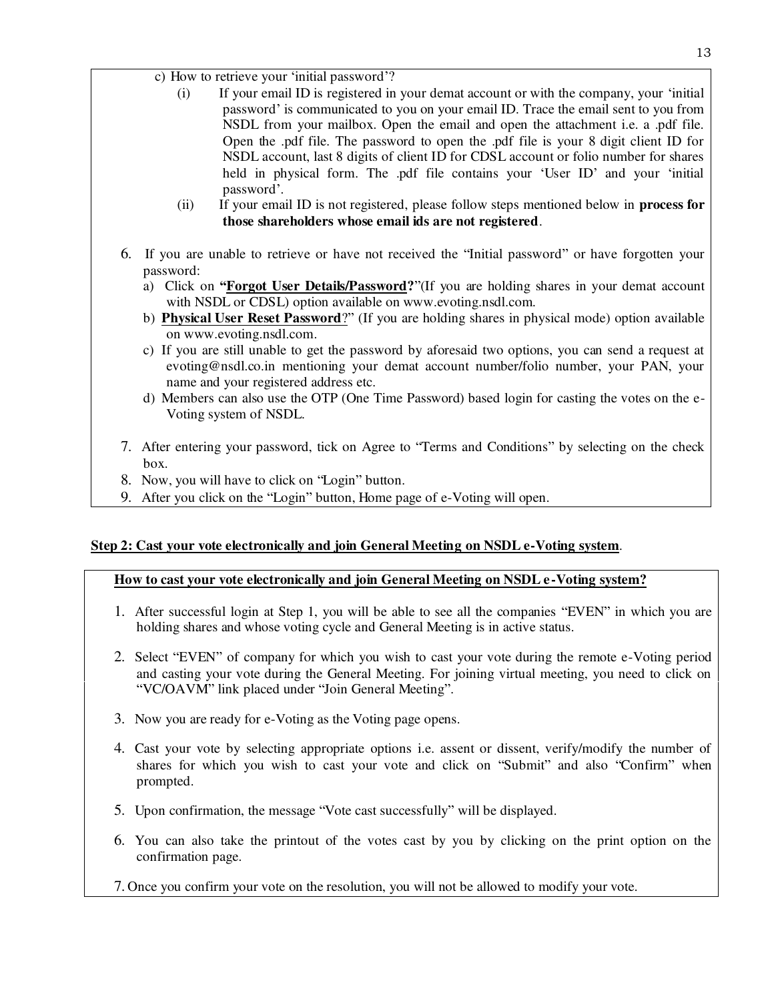- c) How to retrieve your 'initial password'?
	- (i) If your email ID is registered in your demat account or with the company, your 'initial password' is communicated to you on your email ID. Trace the email sent to you from NSDL from your mailbox. Open the email and open the attachment i.e. a .pdf file. Open the .pdf file. The password to open the .pdf file is your 8 digit client ID for NSDL account, last 8 digits of client ID for CDSL account or folio number for shares held in physical form. The .pdf file contains your 'User ID' and your 'initial password'.
	- (ii) If your email ID is not registered, please follow steps mentioned below in **process for those shareholders whose email ids are not registered**.
- 6. If you are unable to retrieve or have not received the "Initial password" or have forgotten your password:
	- a) Click on **"[Forgot User Details/Password?](https://www.evoting.nsdl.com/eVotingWeb/commonhtmls/NewUser.jsp)**"(If you are holding shares in your demat account with NSDL or CDSL) option available on www.evoting.nsdl.com.
	- b) **[Physical User Reset Password](https://www.evoting.nsdl.com/eVotingWeb/commonhtmls/PhysicalUser.jsp)**?" (If you are holding shares in physical mode) option available on [www.evoting.nsdl.com.](http://www.evoting.nsdl.com/)
	- c) If you are still unable to get the password by aforesaid two options, you can send a request at [evoting@nsdl.co.in](mailto:evoting@nsdl.co.in) mentioning your demat account number/folio number, your PAN, your name and your registered address etc.
	- d) Members can also use the OTP (One Time Password) based login for casting the votes on the e-Voting system of NSDL.
- 7. After entering your password, tick on Agree to "Terms and Conditions" by selecting on the check box.
- 8. Now, you will have to click on "Login" button.
- 9. After you click on the "Login" button, Home page of e-Voting will open.

# **Step 2: Cast your vote electronically and join General Meeting on NSDL e-Voting system**.

## **How to cast your vote electronically and join General Meeting on NSDL e-Voting system?**

- 1. After successful login at Step 1, you will be able to see all the companies "EVEN" in which you are holding shares and whose voting cycle and General Meeting is in active status.
- 2. Select "EVEN" of company for which you wish to cast your vote during the remote e-Voting period and casting your vote during the General Meeting. For joining virtual meeting, you need to click on "VC/OAVM" link placed under "Join General Meeting".
- 3. Now you are ready for e-Voting as the Voting page opens.
- 4. Cast your vote by selecting appropriate options i.e. assent or dissent, verify/modify the number of shares for which you wish to cast your vote and click on "Submit" and also "Confirm" when prompted.
- 5. Upon confirmation, the message "Vote cast successfully" will be displayed.
- 6. You can also take the printout of the votes cast by you by clicking on the print option on the confirmation page.
- 7. Once you confirm your vote on the resolution, you will not be allowed to modify your vote.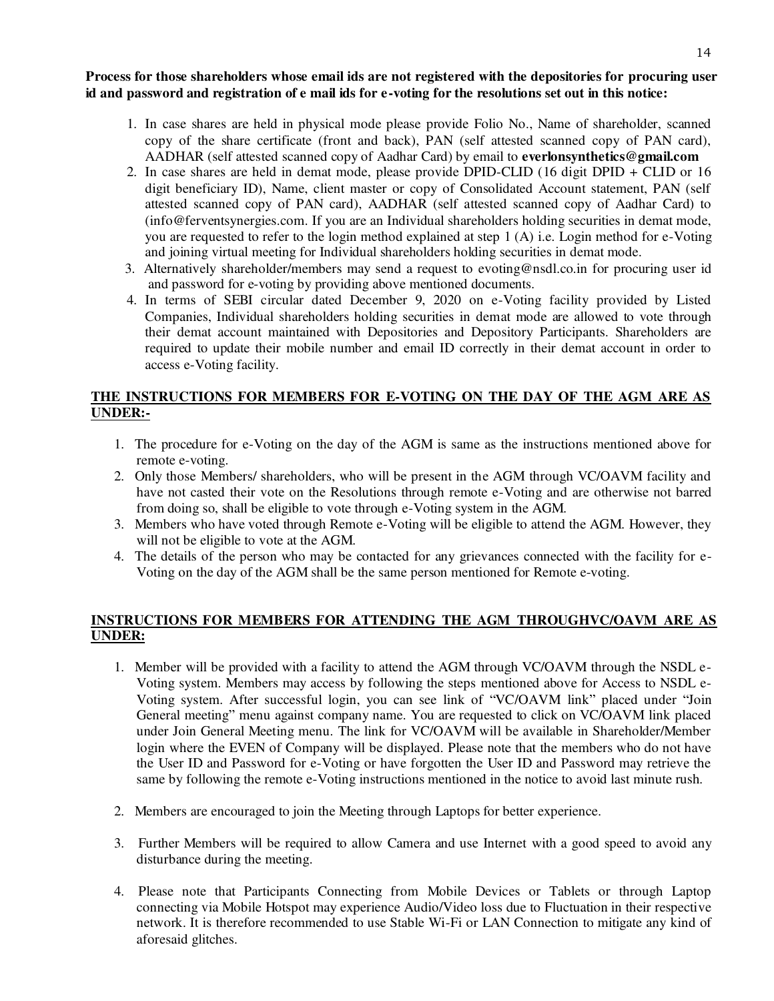## **Process for those shareholders whose email ids are not registered with the depositories for procuring user id and password and registration of e mail ids for e-voting for the resolutions set out in this notice:**

- 1. In case shares are held in physical mode please provide Folio No., Name of shareholder, scanned copy of the share certificate (front and back), PAN (self attested scanned copy of PAN card), AADHAR (self attested scanned copy of Aadhar Card) by email to **everlonsynthetics@gmail.com**
- 2. In case shares are held in demat mode, please provide DPID-CLID (16 digit DPID + CLID or 16 digit beneficiary ID), Name, client master or copy of Consolidated Account statement, PAN (self attested scanned copy of PAN card), AADHAR (self attested scanned copy of Aadhar Card) to [\(info@ferventsynergies.com.](mailto:info@ferventsynergies.com) If you are an Individual shareholders holding securities in demat mode, you are requested to refer to the login method explained at step 1 (A) i.e. Login method for e-Voting and joining virtual meeting for Individual shareholders holding securities in demat mode.
- 3. Alternatively shareholder/members may send a request to [evoting@nsdl.co.in](mailto:evoting@nsdl.co.in) for procuring user id and password for e-voting by providing above mentioned documents.
- 4. In terms of SEBI circular dated December 9, 2020 on e-Voting facility provided by Listed Companies, Individual shareholders holding securities in demat mode are allowed to vote through their demat account maintained with Depositories and Depository Participants. Shareholders are required to update their mobile number and email ID correctly in their demat account in order to access e-Voting facility.

# **THE INSTRUCTIONS FOR MEMBERS FOR E-VOTING ON THE DAY OF THE AGM ARE AS UNDER:-**

- 1. The procedure for e-Voting on the day of the AGM is same as the instructions mentioned above for remote e-voting.
- 2. Only those Members/ shareholders, who will be present in the AGM through VC/OAVM facility and have not casted their vote on the Resolutions through remote e-Voting and are otherwise not barred from doing so, shall be eligible to vote through e-Voting system in the AGM.
- 3. Members who have voted through Remote e-Voting will be eligible to attend the AGM. However, they will not be eligible to vote at the AGM.
- 4. The details of the person who may be contacted for any grievances connected with the facility for e-Voting on the day of the AGM shall be the same person mentioned for Remote e-voting.

# **INSTRUCTIONS FOR MEMBERS FOR ATTENDING THE AGM THROUGHVC/OAVM ARE AS UNDER:**

- 1. Member will be provided with a facility to attend the AGM through VC/OAVM through the NSDL e-Voting system. Members may access by following the steps mentioned above for Access to NSDL e-Voting system. After successful login, you can see link of "VC/OAVM link" placed under "Join General meeting" menu against company name. You are requested to click on VC/OAVM link placed under Join General Meeting menu. The link for VC/OAVM will be available in Shareholder/Member login where the EVEN of Company will be displayed. Please note that the members who do not have the User ID and Password for e-Voting or have forgotten the User ID and Password may retrieve the same by following the remote e-Voting instructions mentioned in the notice to avoid last minute rush.
- 2. Members are encouraged to join the Meeting through Laptops for better experience.
- 3. Further Members will be required to allow Camera and use Internet with a good speed to avoid any disturbance during the meeting.
- 4. Please note that Participants Connecting from Mobile Devices or Tablets or through Laptop connecting via Mobile Hotspot may experience Audio/Video loss due to Fluctuation in their respective network. It is therefore recommended to use Stable Wi-Fi or LAN Connection to mitigate any kind of aforesaid glitches.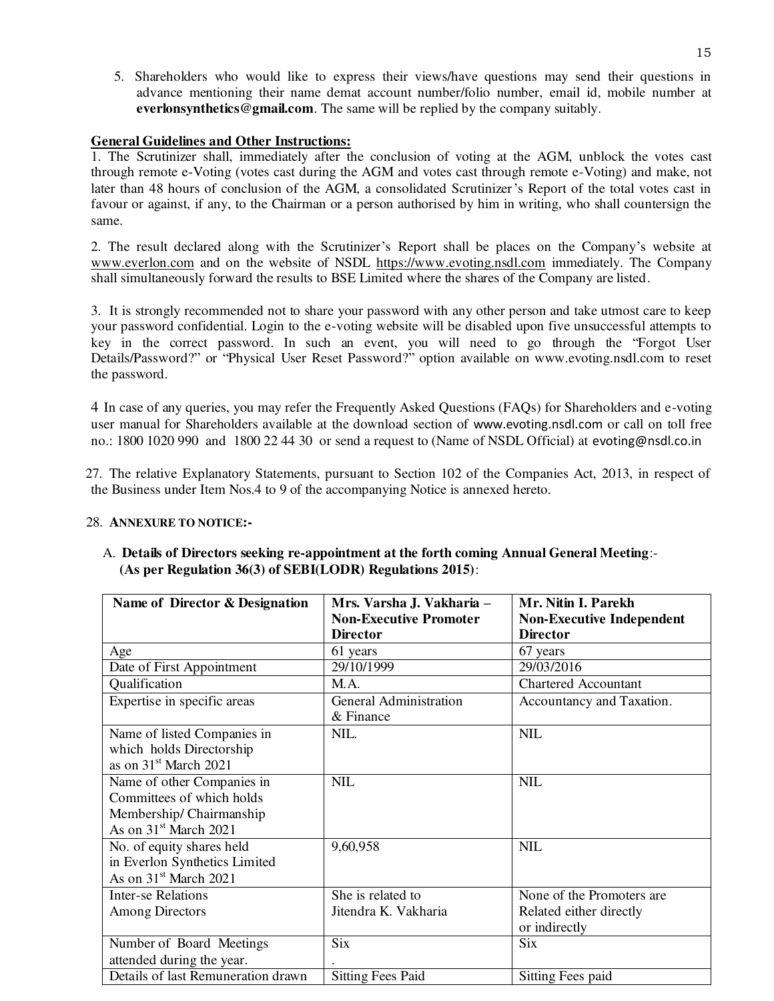5. Shareholders who would like to express their views/have questions may send their questions in advance mentioning their name demat account number/folio number, email id, mobile number at **everlonsynthetics@gmail.com**. The same will be replied by the company suitably.

### **General Guidelines and Other Instructions:**

1. The Scrutinizer shall, immediately after the conclusion of voting at the AGM, unblock the votes cast through remote e-Voting (votes cast during the AGM and votes cast through remote e-Voting) and make, not later than 48 hours of conclusion of the AGM, a consolidated Scrutinizer's Report of the total votes cast in favour or against, if any, to the Chairman or a person authorised by him in writing, who shall countersign the same.

2. The result declared along with the Scrutinizer's Report shall be places on the Company's website at [www.everlon.com](http://www.everlon.com/) and on the website of NSDL [https://www.evoting.nsdl.com](https://www.evoting.nsdl.com/) immediately. The Company shall simultaneously forward the results to BSE Limited where the shares of the Company are listed.

3. It is strongly recommended not to share your password with any other person and take utmost care to keep your password confidential. Login to the e-voting website will be disabled upon five unsuccessful attempts to key in the correct password. In such an event, you will need to go through the "[Forgot User](https://www.evoting.nsdl.com/eVotingWeb/commonhtmls/NewUser.jsp)  [Details/Password?](https://www.evoting.nsdl.com/eVotingWeb/commonhtmls/NewUser.jsp)" or "[Physical User Reset Password?](https://www.evoting.nsdl.com/eVotingWeb/commonhtmls/PhysicalUser.jsp)" option available on www.evoting.nsdl.com to reset the password.

4 In case of any queries, you may refer the Frequently Asked Questions (FAQs) for Shareholders and e-voting user manual for Shareholders available at the download section of [www.evoting.nsdl.com](http://www.evoting.nsdl.com/) or call on toll free no.: 1800 1020 990 and 1800 22 44 30 or send a request to (Name of NSDL Official) at [evoting@nsdl.co.in](mailto:evoting@nsdl.co.in)

27. The relative Explanatory Statements, pursuant to Section 102 of the Companies Act, 2013, in respect of the Business under Item Nos.4 to 9 of the accompanying Notice is annexed hereto.

### 28. **ANNEXURE TO NOTICE:-**

| Name of Director & Designation     | Mrs. Varsha J. Vakharia -<br><b>Non-Executive Promoter</b> | Mr. Nitin I. Parekh<br><b>Non-Executive Independent</b> |
|------------------------------------|------------------------------------------------------------|---------------------------------------------------------|
|                                    | <b>Director</b>                                            | <b>Director</b>                                         |
| Age                                | 61 years                                                   | 67 years                                                |
| Date of First Appointment          | 29/10/1999                                                 | 29/03/2016                                              |
| Qualification                      | M.A.                                                       | <b>Chartered Accountant</b>                             |
| Expertise in specific areas        | <b>General Administration</b>                              | Accountancy and Taxation.                               |
|                                    | & Finance                                                  |                                                         |
| Name of listed Companies in        | NIL.                                                       | <b>NIL</b>                                              |
| which holds Directorship           |                                                            |                                                         |
| as on 31 <sup>st</sup> March 2021  |                                                            |                                                         |
| Name of other Companies in         | <b>NIL</b>                                                 | <b>NIL</b>                                              |
| Committees of which holds          |                                                            |                                                         |
| Membership/Chairmanship            |                                                            |                                                         |
| As on 31 <sup>st</sup> March 2021  |                                                            |                                                         |
| No. of equity shares held          | 9,60,958                                                   | <b>NIL</b>                                              |
| in Everlon Synthetics Limited      |                                                            |                                                         |
| As on 31 <sup>st</sup> March 2021  |                                                            |                                                         |
| <b>Inter-se Relations</b>          | She is related to                                          | None of the Promoters are                               |
| Among Directors                    | Jitendra K. Vakharia                                       | Related either directly                                 |
|                                    |                                                            | or indirectly                                           |
| Number of Board Meetings           | <b>Six</b>                                                 | <b>Six</b>                                              |
| attended during the year.          |                                                            |                                                         |
| Details of last Remuneration drawn | <b>Sitting Fees Paid</b>                                   | Sitting Fees paid                                       |

## A. **Details of Directors seeking re-appointment at the forth coming Annual General Meeting**:- **(As per Regulation 36(3) of SEBI(LODR) Regulations 2015)**: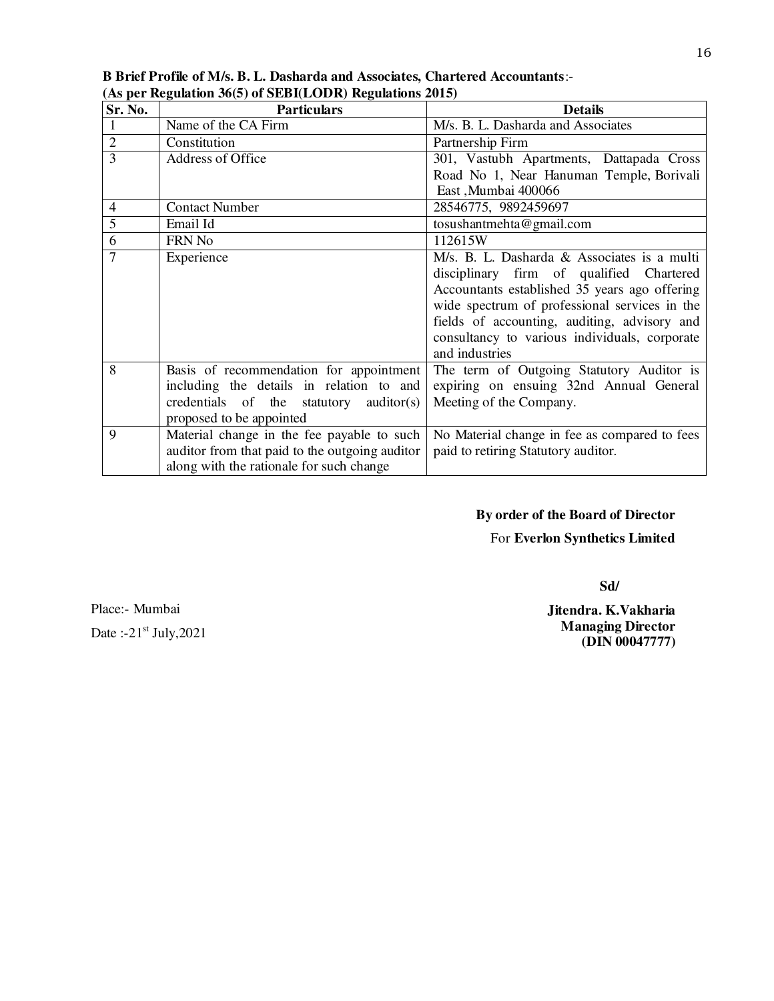| Sr. No.        | <b>Particulars</b>                             | <b>Details</b>                                |
|----------------|------------------------------------------------|-----------------------------------------------|
| 1              | Name of the CA Firm                            | M/s. B. L. Dasharda and Associates            |
| $\overline{2}$ | Constitution                                   | Partnership Firm                              |
| 3              | <b>Address of Office</b>                       | 301, Vastubh Apartments, Dattapada Cross      |
|                |                                                | Road No 1, Near Hanuman Temple, Borivali      |
|                |                                                | East, Mumbai 400066                           |
| $\overline{4}$ | <b>Contact Number</b>                          | 28546775, 9892459697                          |
| $\overline{5}$ | Email Id                                       | tosushantmehta@gmail.com                      |
| 6              | FRN No                                         | 112615W                                       |
| 7              | Experience                                     | M/s. B. L. Dasharda & Associates is a multi   |
|                |                                                | disciplinary firm of qualified Chartered      |
|                |                                                | Accountants established 35 years ago offering |
|                |                                                | wide spectrum of professional services in the |
|                |                                                | fields of accounting, auditing, advisory and  |
|                |                                                | consultancy to various individuals, corporate |
|                |                                                | and industries                                |
| 8              | Basis of recommendation for appointment        | The term of Outgoing Statutory Auditor is     |
|                | including the details in relation to and       | expiring on ensuing 32nd Annual General       |
|                | credentials of the<br>auditor(s)<br>statutory  | Meeting of the Company.                       |
|                | proposed to be appointed                       |                                               |
| 9              | Material change in the fee payable to such     | No Material change in fee as compared to fees |
|                | auditor from that paid to the outgoing auditor | paid to retiring Statutory auditor.           |
|                | along with the rationale for such change       |                                               |

**B Brief Profile of M/s. B. L. Dasharda and Associates, Chartered Accountants**:- **(As per Regulation 36(5) of SEBI(LODR) Regulations 2015)**

# **By order of the Board of Director**

## For **Everlon Synthetics Limited**

 **Sd/** 

Place:- Mumbai Date  $:21<sup>st</sup>$  July, 2021 **Jitendra. K.Vakharia Managing Director (DIN 00047777)**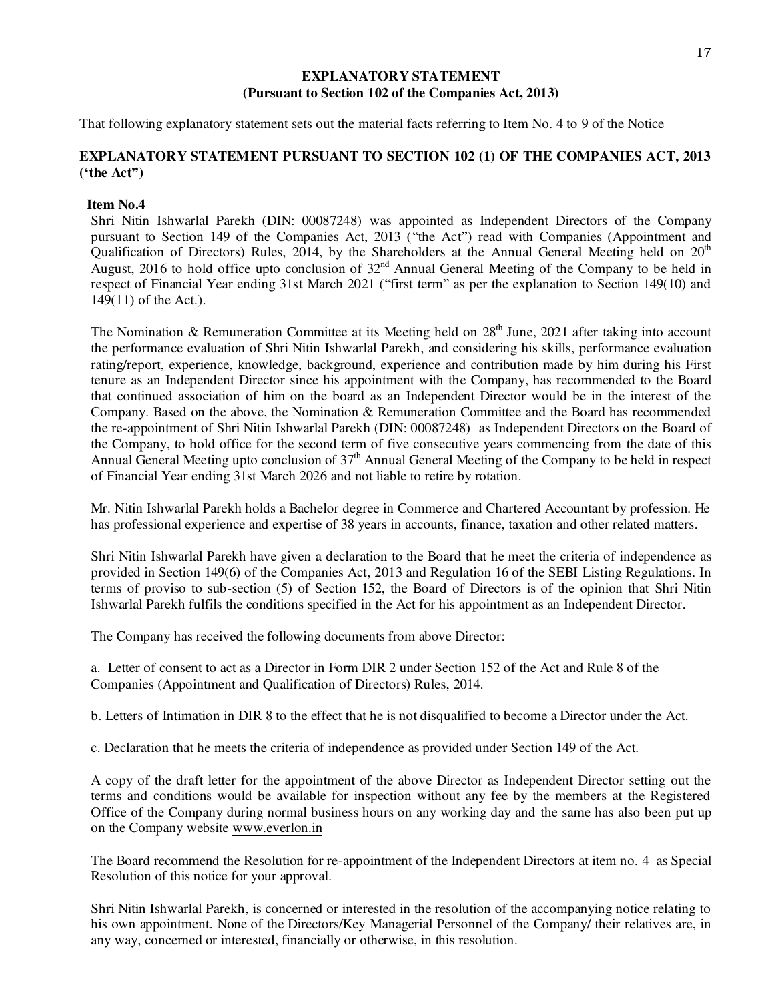### **EXPLANATORY STATEMENT (Pursuant to Section 102 of the Companies Act, 2013)**

That following explanatory statement sets out the material facts referring to Item No. 4 to 9 of the Notice

# **EXPLANATORY STATEMENT PURSUANT TO SECTION 102 (1) OF THE COMPANIES ACT, 2013 ('the Act")**

## **Item No.4**

Shri Nitin Ishwarlal Parekh (DIN: 00087248) was appointed as Independent Directors of the Company pursuant to Section 149 of the Companies Act, 2013 ("the Act") read with Companies (Appointment and Qualification of Directors) Rules, 2014, by the Shareholders at the Annual General Meeting held on  $20<sup>th</sup>$ August, 2016 to hold office upto conclusion of 32<sup>nd</sup> Annual General Meeting of the Company to be held in respect of Financial Year ending 31st March 2021 ("first term" as per the explanation to Section 149(10) and 149(11) of the Act.).

The Nomination & Remuneration Committee at its Meeting held on  $28<sup>th</sup>$  June, 2021 after taking into account the performance evaluation of Shri Nitin Ishwarlal Parekh, and considering his skills, performance evaluation rating/report, experience, knowledge, background, experience and contribution made by him during his First tenure as an Independent Director since his appointment with the Company, has recommended to the Board that continued association of him on the board as an Independent Director would be in the interest of the Company. Based on the above, the Nomination & Remuneration Committee and the Board has recommended the re-appointment of Shri Nitin Ishwarlal Parekh (DIN: 00087248) as Independent Directors on the Board of the Company, to hold office for the second term of five consecutive years commencing from the date of this Annual General Meeting upto conclusion of  $37<sup>th</sup>$  Annual General Meeting of the Company to be held in respect of Financial Year ending 31st March 2026 and not liable to retire by rotation.

Mr. Nitin Ishwarlal Parekh holds a Bachelor degree in Commerce and Chartered Accountant by profession. He has professional experience and expertise of 38 years in accounts, finance, taxation and other related matters.

Shri Nitin Ishwarlal Parekh have given a declaration to the Board that he meet the criteria of independence as provided in Section 149(6) of the Companies Act, 2013 and Regulation 16 of the SEBI Listing Regulations. In terms of proviso to sub-section (5) of Section 152, the Board of Directors is of the opinion that Shri Nitin Ishwarlal Parekh fulfils the conditions specified in the Act for his appointment as an Independent Director.

The Company has received the following documents from above Director:

a. Letter of consent to act as a Director in Form DIR 2 under Section 152 of the Act and Rule 8 of the Companies (Appointment and Qualification of Directors) Rules, 2014.

b. Letters of Intimation in DIR 8 to the effect that he is not disqualified to become a Director under the Act.

c. Declaration that he meets the criteria of independence as provided under Section 149 of the Act.

A copy of the draft letter for the appointment of the above Director as Independent Director setting out the terms and conditions would be available for inspection without any fee by the members at the Registered Office of the Company during normal business hours on any working day and the same has also been put up on the Company website [www.everlon.in](http://www.everlon.in/) 

The Board recommend the Resolution for re-appointment of the Independent Directors at item no. 4 as Special Resolution of this notice for your approval.

Shri Nitin Ishwarlal Parekh, is concerned or interested in the resolution of the accompanying notice relating to his own appointment. None of the Directors/Key Managerial Personnel of the Company/ their relatives are, in any way, concerned or interested, financially or otherwise, in this resolution.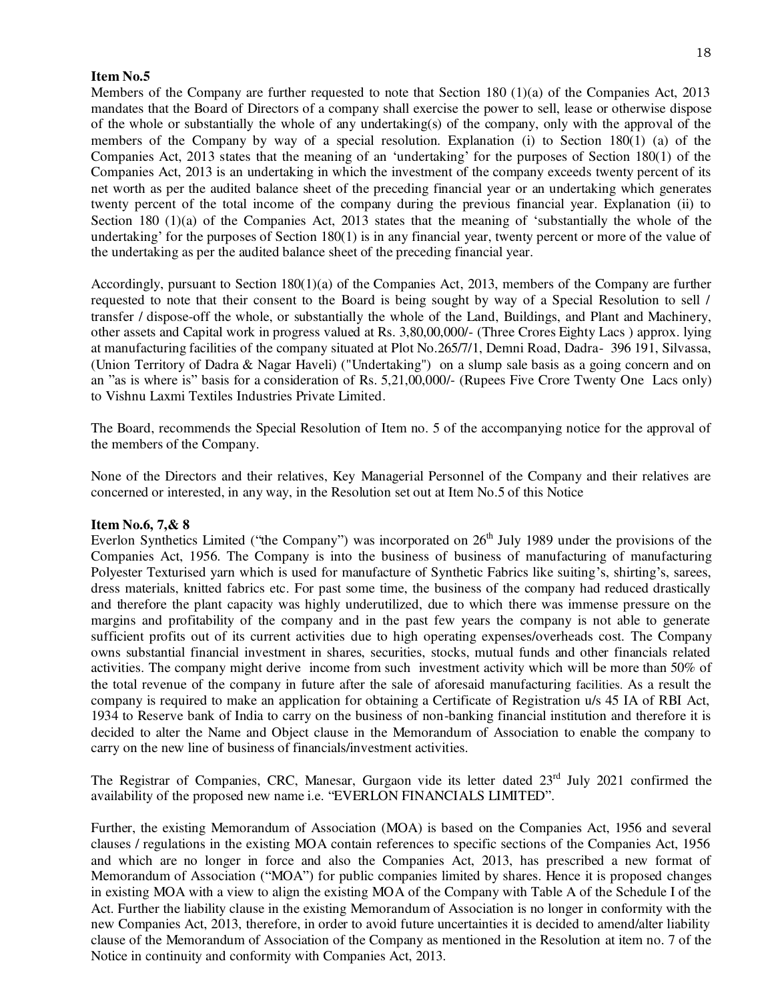### **Item No.5**

Members of the Company are further requested to note that Section 180 (1)(a) of the Companies Act, 2013 mandates that the Board of Directors of a company shall exercise the power to sell, lease or otherwise dispose of the whole or substantially the whole of any undertaking(s) of the company, only with the approval of the members of the Company by way of a special resolution. Explanation (i) to Section 180(1) (a) of the Companies Act, 2013 states that the meaning of an 'undertaking' for the purposes of Section 180(1) of the Companies Act, 2013 is an undertaking in which the investment of the company exceeds twenty percent of its net worth as per the audited balance sheet of the preceding financial year or an undertaking which generates twenty percent of the total income of the company during the previous financial year. Explanation (ii) to Section 180 (1)(a) of the Companies Act, 2013 states that the meaning of 'substantially the whole of the undertaking' for the purposes of Section 180(1) is in any financial year, twenty percent or more of the value of the undertaking as per the audited balance sheet of the preceding financial year.

Accordingly, pursuant to Section 180(1)(a) of the Companies Act, 2013, members of the Company are further requested to note that their consent to the Board is being sought by way of a Special Resolution to sell / transfer / dispose-off the whole, or substantially the whole of the Land, Buildings, and Plant and Machinery, other assets and Capital work in progress valued at Rs. 3,80,00,000/- (Three Crores Eighty Lacs ) approx. lying at manufacturing facilities of the company situated at Plot No.265/7/1, Demni Road, Dadra- 396 191, Silvassa, (Union Territory of Dadra & Nagar Haveli) ("Undertaking") on a slump sale basis as a going concern and on an "as is where is" basis for a consideration of Rs. 5,21,00,000/- (Rupees Five Crore Twenty One Lacs only) to Vishnu Laxmi Textiles Industries Private Limited.

The Board, recommends the Special Resolution of Item no. 5 of the accompanying notice for the approval of the members of the Company.

None of the Directors and their relatives, Key Managerial Personnel of the Company and their relatives are concerned or interested, in any way, in the Resolution set out at Item No.5 of this Notice

#### **Item No.6, 7,& 8**

Everlon Synthetics Limited ("the Company") was incorporated on  $26<sup>th</sup>$  July 1989 under the provisions of the Companies Act, 1956. The Company is into the business of business of manufacturing of manufacturing Polyester Texturised yarn which is used for manufacture of Synthetic Fabrics like suiting's, shirting's, sarees, dress materials, knitted fabrics etc. For past some time, the business of the company had reduced drastically and therefore the plant capacity was highly underutilized, due to which there was immense pressure on the margins and profitability of the company and in the past few years the company is not able to generate sufficient profits out of its current activities due to high operating expenses/overheads cost. The Company owns substantial financial investment in shares, securities, stocks, mutual funds and other financials related activities. The company might derive income from such investment activity which will be more than 50% of the total revenue of the company in future after the sale of aforesaid manufacturing facilities. As a result the company is required to make an application for obtaining a Certificate of Registration u/s 45 IA of RBI Act, 1934 to Reserve bank of India to carry on the business of non-banking financial institution and therefore it is decided to alter the Name and Object clause in the Memorandum of Association to enable the company to carry on the new line of business of financials/investment activities.

The Registrar of Companies, CRC, Manesar, Gurgaon vide its letter dated 23<sup>rd</sup> July 2021 confirmed the availability of the proposed new name i.e. "EVERLON FINANCIALS LIMITED".

Further, the existing Memorandum of Association (MOA) is based on the Companies Act, 1956 and several clauses / regulations in the existing MOA contain references to specific sections of the Companies Act, 1956 and which are no longer in force and also the Companies Act, 2013, has prescribed a new format of Memorandum of Association ("MOA") for public companies limited by shares. Hence it is proposed changes in existing MOA with a view to align the existing MOA of the Company with Table A of the Schedule I of the Act. Further the liability clause in the existing Memorandum of Association is no longer in conformity with the new Companies Act, 2013, therefore, in order to avoid future uncertainties it is decided to amend/alter liability clause of the Memorandum of Association of the Company as mentioned in the Resolution at item no. 7 of the Notice in continuity and conformity with Companies Act, 2013.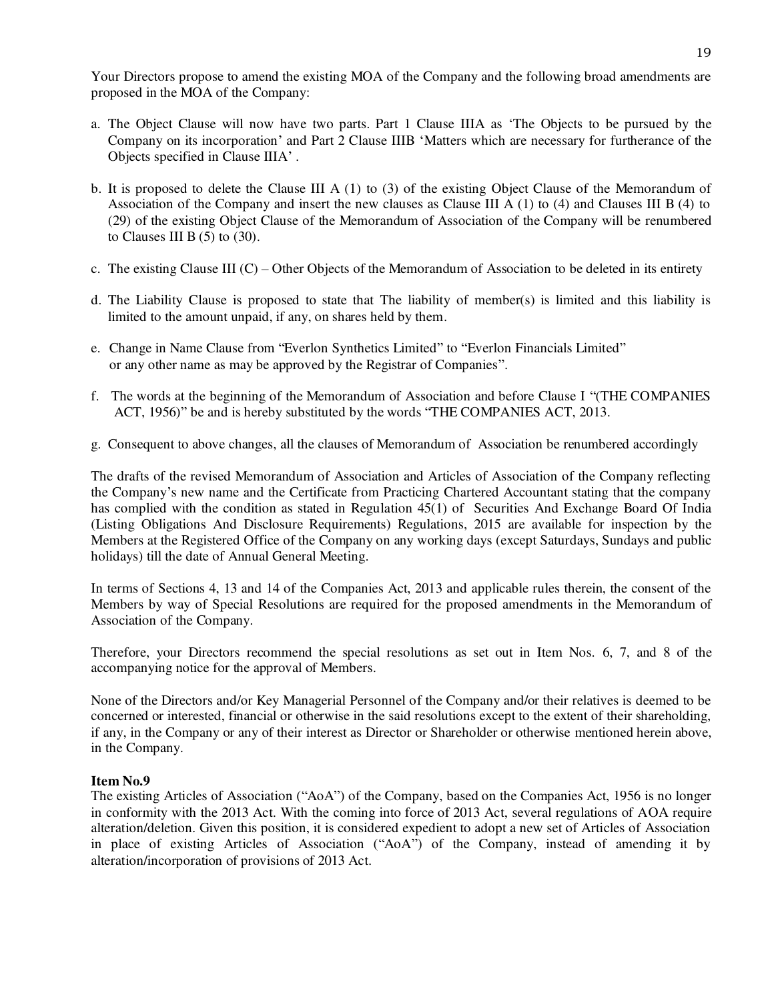Your Directors propose to amend the existing MOA of the Company and the following broad amendments are proposed in the MOA of the Company:

- a. The Object Clause will now have two parts. Part 1 Clause IIIA as 'The Objects to be pursued by the Company on its incorporation' and Part 2 Clause IIIB 'Matters which are necessary for furtherance of the Objects specified in Clause IIIA' .
- b. It is proposed to delete the Clause III A (1) to (3) of the existing Object Clause of the Memorandum of Association of the Company and insert the new clauses as Clause III A (1) to (4) and Clauses III B (4) to (29) of the existing Object Clause of the Memorandum of Association of the Company will be renumbered to Clauses III B  $(5)$  to  $(30)$ .
- c. The existing Clause III  $(C)$  Other Objects of the Memorandum of Association to be deleted in its entirety
- d. The Liability Clause is proposed to state that The liability of member(s) is limited and this liability is limited to the amount unpaid, if any, on shares held by them.
- e. Change in Name Clause from "Everlon Synthetics Limited" to "Everlon Financials Limited" or any other name as may be approved by the Registrar of Companies".
- f.The words at the beginning of the Memorandum of Association and before Clause I "(THE COMPANIES ACT, 1956)" be and is hereby substituted by the words "THE COMPANIES ACT, 2013.
- g. Consequent to above changes, all the clauses of Memorandum of Association be renumbered accordingly

The drafts of the revised Memorandum of Association and Articles of Association of the Company reflecting the Company's new name and the Certificate from Practicing Chartered Accountant stating that the company has complied with the condition as stated in Regulation 45(1) of Securities And Exchange Board Of India (Listing Obligations And Disclosure Requirements) Regulations, 2015 are available for inspection by the Members at the Registered Office of the Company on any working days (except Saturdays, Sundays and public holidays) till the date of Annual General Meeting.

In terms of Sections 4, 13 and 14 of the Companies Act, 2013 and applicable rules therein, the consent of the Members by way of Special Resolutions are required for the proposed amendments in the Memorandum of Association of the Company.

Therefore, your Directors recommend the special resolutions as set out in Item Nos. 6, 7, and 8 of the accompanying notice for the approval of Members.

None of the Directors and/or Key Managerial Personnel of the Company and/or their relatives is deemed to be concerned or interested, financial or otherwise in the said resolutions except to the extent of their shareholding, if any, in the Company or any of their interest as Director or Shareholder or otherwise mentioned herein above, in the Company.

## **Item No.9**

The existing Articles of Association ("AoA") of the Company, based on the Companies Act, 1956 is no longer in conformity with the 2013 Act. With the coming into force of 2013 Act, several regulations of AOA require alteration/deletion. Given this position, it is considered expedient to adopt a new set of Articles of Association in place of existing Articles of Association ("AoA") of the Company, instead of amending it by alteration/incorporation of provisions of 2013 Act.